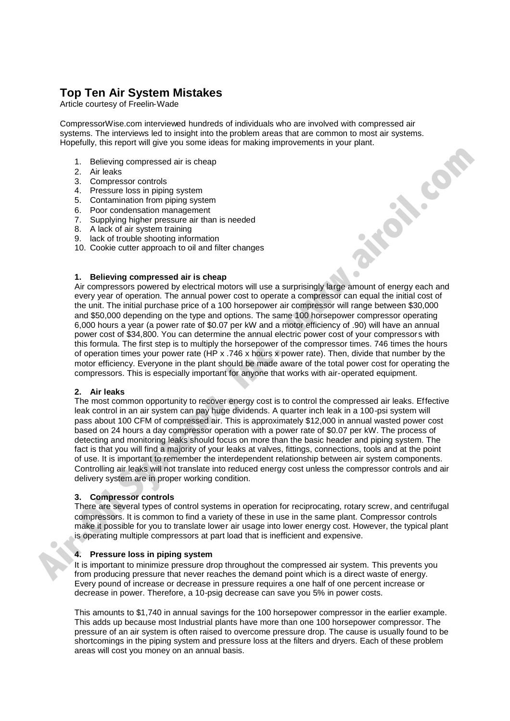# **Top Ten Air System Mistakes**

Article courtesy of Freelin-Wade

CompressorWise.com interviewed hundreds of individuals who are involved with compressed air systems. The interviews led to insight into the problem areas that are common to most air systems. Hopefully, this report will give you some ideas for making improvements in your plant.

- 1. Believing compressed air is cheap
- 2. Air leaks
- 3. Compressor controls
- 4. Pressure loss in piping system
- 5. Contamination from piping system
- 6. Poor condensation management
- 7. Supplying higher pressure air than is needed
- 8. A lack of air system training
- 9. lack of trouble shooting information
- 10. Cookie cutter approach to oil and filter changes

# **1. Believing compressed air is cheap**

Air compressors powered by electrical motors will use a surprisingly large amount of energy each and every year of operation. The annual power cost to operate a compressor can equal the initial cost of the unit. The initial purchase price of a 100 horsepower air compressor will range between \$30,000 and \$50,000 depending on the type and options. The same 100 horsepower compressor operating 6,000 hours a year (a power rate of \$0.07 per kW and a motor efficiency of .90) will have an annual power cost of \$34,800. You can determine the annual electric power cost of your compressors with this formula. The first step is to multiply the horsepower of the compressor times. 746 times the hours of operation times your power rate (HP x .746 x hours x power rate). Then, divide that number by the motor efficiency. Everyone in the plant should be made aware of the total power cost for operating the compressors. This is especially important for anyone that works with air-operated equipment. 1. Believing compressed air is cheap<br>
2. Air-Believing compressed air is cheap<br>
3. Compressed air momentum system<br>
6. Compressed air momentum<br>
6. For condensation momentum in the recided<br>
7. Supplying higher pressure dir l

## **2. Air leaks**

The most common opportunity to recover energy cost is to control the compressed air leaks. Effective leak control in an air system can pay huge dividends. A quarter inch leak in a 100-psi system will pass about 100 CFM of compressed air. This is approximately \$12,000 in annual wasted power cost based on 24 hours a day compressor operation with a power rate of \$0.07 per kW. The process of detecting and monitoring leaks should focus on more than the basic header and piping system. The fact is that you will find a majority of your leaks at valves, fittings, connections, tools and at the point of use. It is important to remember the interdependent relationship between air system components. Controlling air leaks will not translate into reduced energy cost unless the compressor controls and air delivery system are in proper working condition.

### **3. Compressor controls**

There are several types of control systems in operation for reciprocating, rotary screw, and centrifugal compressors. It is common to find a variety of these in use in the same plant. Compressor controls make it possible for you to translate lower air usage into lower energy cost. However, the typical plant is operating multiple compressors at part load that is inefficient and expensive.

### **4. Pressure loss in piping system**

It is important to minimize pressure drop throughout the compressed air system. This prevents you from producing pressure that never reaches the demand point which is a direct waste of energy. Every pound of increase or decrease in pressure requires a one half of one percent increase or decrease in power. Therefore, a 10-psig decrease can save you 5% in power costs.

This amounts to \$1,740 in annual savings for the 100 horsepower compressor in the earlier example. This adds up because most Industrial plants have more than one 100 horsepower compressor. The pressure of an air system is often raised to overcome pressure drop. The cause is usually found to be shortcomings in the piping system and pressure loss at the filters and dryers. Each of these problem areas will cost you money on an annual basis.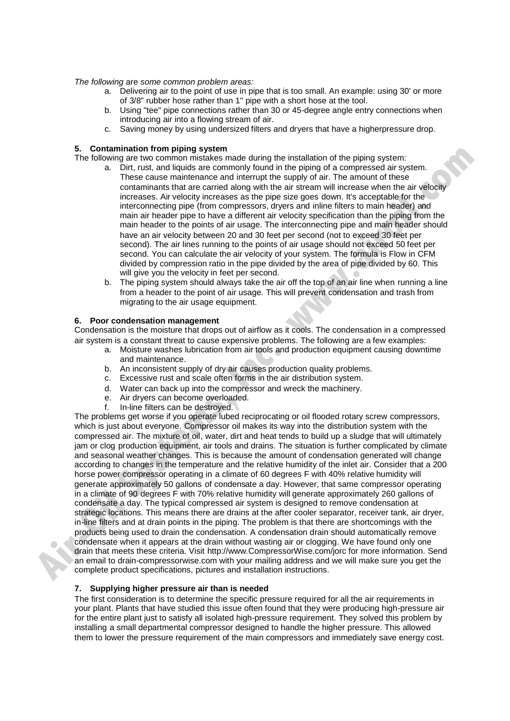*The following* are *some common problem areas:*

- a. Delivering air to the point of use in pipe that is too small. An example: using 30' or more of 3/8" rubber hose rather than 1" pipe with a short hose at the tool.
- b. Using "tee" pipe connections rather than 30 or 45-degree angle entry connections when introducing air into a flowing stream of air.
- c. Saving money by using undersized filters and dryers that have a higherpressure drop.

### **5. Contamination from piping system**

The following are two common mistakes made during the installation of the piping system:

- a. Dirt, rust, and liquids are commonly found in the piping of a compressed air system. These cause maintenance and interrupt the supply of air. The amount of these contaminants that are carried along with the air stream will increase when the air velocity increases. Air velocity increases as the pipe size goes down. It's acceptable for the interconnecting pipe (from compressors, dryers and inline filters to main header) and main air header pipe to have a different air velocity specification than the piping from the main header to the points of air usage. The interconnecting pipe and main header should have an air velocity between 20 and 30 feet per second (not to exceed 30 feet per second). The air lines running to the points of air usage should not exceed 50 feet per second. You can calculate the air velocity of your system. The formula is Flow in CFM divided by compression ratio in the pipe divided by the area of pipe divided by 60. This will give you the velocity in feet per second.
- b. The piping system should always take the air off the top of an air line when running a line from a header to the point of air usage. This will prevent condensation and trash from migrating to the air usage equipment.

### **6. Poor condensation management**

Condensation is the moisture that drops out of airflow as it cools. The condensation in a compressed air system is a constant threat to cause expensive problems. The following are a few examples:

- a. Moisture washes lubrication from air tools and production equipment causing downtime and maintenance.
- b. An inconsistent supply of dry air causes production quality problems.
- c. Excessive rust and scale often forms in the air distribution system.
- d. Water can back up into the compressor and wreck the machinery.
- e. Air dryers can become overloaded.
- f. In-line filters can be destroyed.

The problems get worse if you operate lubed reciprocating or oil flooded rotary screw compressors, which is just about everyone. Compressor oil makes its way into the distribution system with the compressed air. The mixture of oil, water, dirt and heat tends to build up a sludge that will ultimately jam or clog production equipment, air tools and drains. The situation is further complicated by climate and seasonal weather changes. This is because the amount of condensation generated will change according to changes in the temperature and the relative humidity of the inlet air. Consider that a 200 horse power compressor operating in a climate of 60 degrees F with 40% relative humidity will generate approximately 50 gallons of condensate a day. However, that same compressor operating in a climate of 90 degrees F with 70% relative humidity will generate approximately 260 gallons of condensate a day. The typical compressed air system is designed to remove condensation at strategic locations. This means there are drains at the after cooler separator, receiver tank, air dryer, in-line filters and at drain points in the piping. The problem is that there are shortcomings with the products being used to drain the condensation. A condensation drain should automatically remove condensate when it appears at the drain without wasting air or clogging. We have found only one drain that meets these criteria. Visit http://www.CompressorWise.com/jorc for more information. Send an email to drain-compressorwise.com with your mailing address and we will make sure you get the complete product specifications, pictures and installation instructions. **5.** Containination from plang system and during the installation of the plain anyon to the column and the contained during the maximum contained and the computer of the computer of the computer of the computer of the comp

### **7. Supplying higher pressure air than is needed**

The first consideration is to determine the specific pressure required for all the air requirements in your plant. Plants that have studied this issue often found that they were producing high-pressure air for the entire plant just to satisfy all isolated high-pressure requirement. They solved this problem by installing a small departmental compressor designed to handle the higher pressure. This allowed them to lower the pressure requirement of the main compressors and immediately save energy cost.